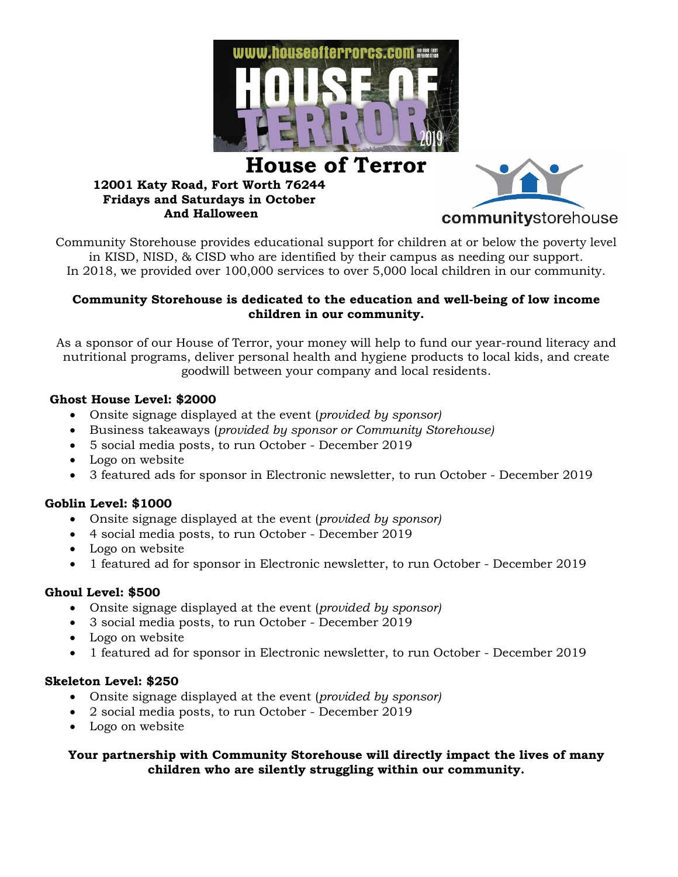

# **House of Terror**

#### **12001 Katy Road, Fort Worth 76244 Fridays and Saturdays in October And Halloween**



Community Storehouse provides educational support for children at or below the poverty level in KISD, NISD, & CISD who are identified by their campus as needing our support. In 2018, we provided over 100,000 services to over 5,000 local children in our community.

#### **Community Storehouse is dedicated to the education and well-being of low income children in our community.**

As a sponsor of our House of Terror, your money will help to fund our year-round literacy and nutritional programs, deliver personal health and hygiene products to local kids, and create goodwill between your company and local residents.

# **Ghost House Level: \$2000**

- Onsite signage displayed at the event (*provided by sponsor)*
- Business takeaways (*provided by sponsor or Community Storehouse)*
- 5 social media posts, to run October December 2019
- Logo on website
- 3 featured ads for sponsor in Electronic newsletter, to run October December 2019

# **Goblin Level: \$1000**

- Onsite signage displayed at the event (*provided by sponsor)*
- 4 social media posts, to run October December 2019
- Logo on website
- 1 featured ad for sponsor in Electronic newsletter, to run October December 2019

# **Ghoul Level: \$500**

- Onsite signage displayed at the event (*provided by sponsor)*
- 3 social media posts, to run October December 2019
- Logo on website
- 1 featured ad for sponsor in Electronic newsletter, to run October December 2019

#### **Skeleton Level: \$250**

- Onsite signage displayed at the event (*provided by sponsor)*
- 2 social media posts, to run October December 2019
- Logo on website

#### **Your partnership with Community Storehouse will directly impact the lives of many children who are silently struggling within our community.**